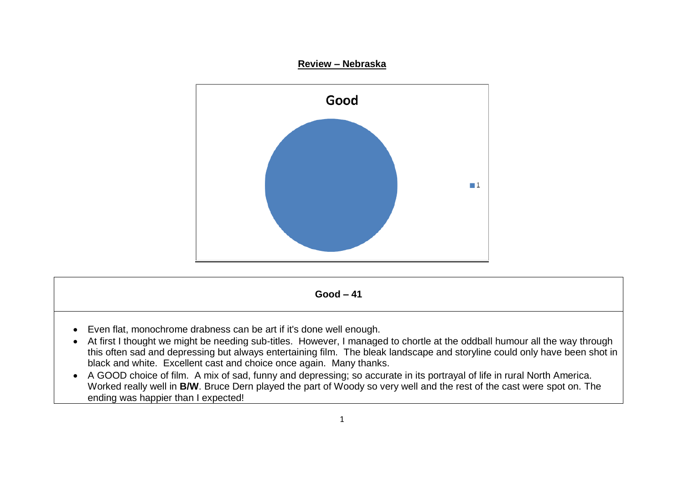

| $Good - 41$                                                                                                                                                                                                                                                                                                                                                                                                                                                                                                                                                                                                                                                                                              |  |
|----------------------------------------------------------------------------------------------------------------------------------------------------------------------------------------------------------------------------------------------------------------------------------------------------------------------------------------------------------------------------------------------------------------------------------------------------------------------------------------------------------------------------------------------------------------------------------------------------------------------------------------------------------------------------------------------------------|--|
| • Even flat, monochrome drabness can be art if it's done well enough.<br>• At first I thought we might be needing sub-titles. However, I managed to chortle at the oddball humour all the way through<br>this often sad and depressing but always entertaining film. The bleak landscape and storyline could only have been shot in<br>black and white. Excellent cast and choice once again. Many thanks.<br>• A GOOD choice of film. A mix of sad, funny and depressing; so accurate in its portrayal of life in rural North America.<br>Worked really well in B/W. Bruce Dern played the part of Woody so very well and the rest of the cast were spot on. The<br>ending was happier than I expected! |  |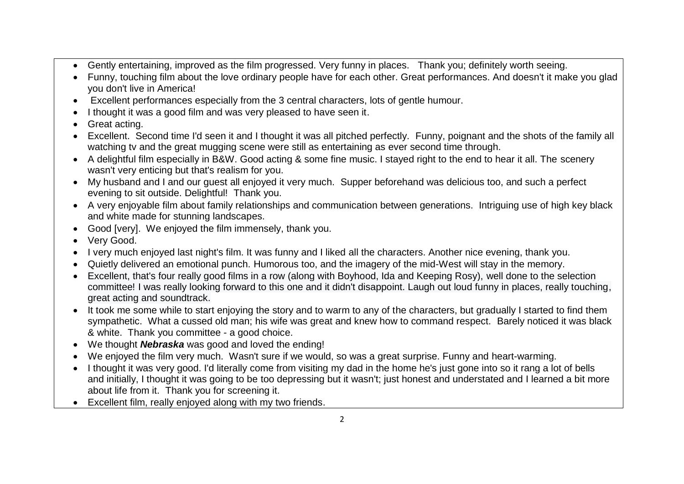- Gently entertaining, improved as the film progressed. Very funny in places. Thank you; definitely worth seeing.
- Funny, touching film about the love ordinary people have for each other. Great performances. And doesn't it make you glad you don't live in America!
- Excellent performances especially from the 3 central characters, lots of gentle humour.
- I thought it was a good film and was very pleased to have seen it.
- Great acting.
- Excellent. Second time I'd seen it and I thought it was all pitched perfectly. Funny, poignant and the shots of the family all watching tv and the great mugging scene were still as entertaining as ever second time through.
- A delightful film especially in B&W. Good acting & some fine music. I stayed right to the end to hear it all. The scenery wasn't very enticing but that's realism for you.
- My husband and I and our guest all enjoyed it very much. Supper beforehand was delicious too, and such a perfect evening to sit outside. Delightful! Thank you.
- A very enjoyable film about family relationships and communication between generations. Intriguing use of high key black and white made for stunning landscapes.
- Good [very]. We enjoyed the film immensely, thank you.
- Very Good.
- I very much enjoyed last night's film. It was funny and I liked all the characters. Another nice evening, thank you.
- Quietly delivered an emotional punch. Humorous too, and the imagery of the mid-West will stay in the memory.
- Excellent, that's four really good films in a row (along with Boyhood, Ida and Keeping Rosy), well done to the selection committee! I was really looking forward to this one and it didn't disappoint. Laugh out loud funny in places, really touching, great acting and soundtrack.
- It took me some while to start enjoying the story and to warm to any of the characters, but gradually I started to find them sympathetic. What a cussed old man; his wife was great and knew how to command respect. Barely noticed it was black & white. Thank you committee - a good choice.
- We thought *Nebraska* was good and loved the ending!
- We enjoyed the film very much. Wasn't sure if we would, so was a great surprise. Funny and heart-warming.
- I thought it was very good. I'd literally come from visiting my dad in the home he's just gone into so it rang a lot of bells and initially, I thought it was going to be too depressing but it wasn't; just honest and understated and I learned a bit more about life from it. Thank you for screening it.
- Excellent film, really enjoyed along with my two friends.